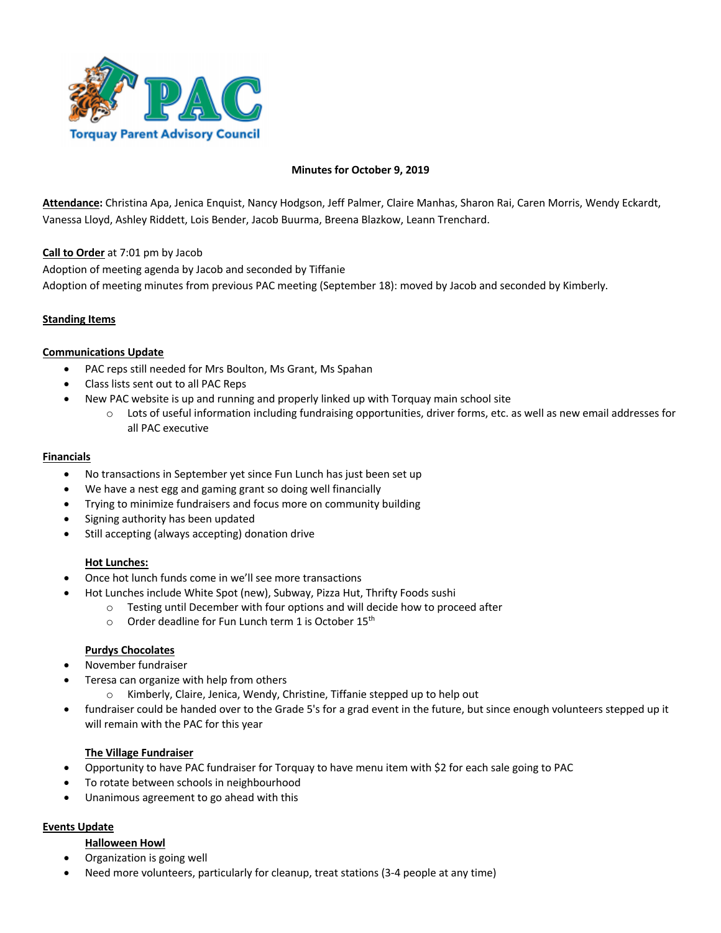

### **Minutes for October 9, 2019**

**Attendance:** Christina Apa, Jenica Enquist, Nancy Hodgson, Jeff Palmer, Claire Manhas, Sharon Rai, Caren Morris, Wendy Eckardt, Vanessa Lloyd, Ashley Riddett, Lois Bender, Jacob Buurma, Breena Blazkow, Leann Trenchard.

**Call to Order** at 7:01 pm by Jacob

Adoption of meeting agenda by Jacob and seconded by Tiffanie

Adoption of meeting minutes from previous PAC meeting (September 18): moved by Jacob and seconded by Kimberly.

# **Standing Items**

### **Communications Update**

- PAC reps still needed for Mrs Boulton, Ms Grant, Ms Spahan
- Class lists sent out to all PAC Reps
- New PAC website is up and running and properly linked up with Torquay main school site
	- $\circ$  Lots of useful information including fundraising opportunities, driver forms, etc. as well as new email addresses for all PAC executive

#### **Financials**

- No transactions in September yet since Fun Lunch has just been set up
- We have a nest egg and gaming grant so doing well financially
- Trying to minimize fundraisers and focus more on community building
- Signing authority has been updated
- Still accepting (always accepting) donation drive

### **Hot Lunches:**

- Once hot lunch funds come in we'll see more transactions
- Hot Lunches include White Spot (new), Subway, Pizza Hut, Thrifty Foods sushi
	- o Testing until December with four options and will decide how to proceed after
	- $\circ$  Order deadline for Fun Lunch term 1 is October 15<sup>th</sup>

### **Purdys Chocolates**

- November fundraiser
- Teresa can organize with help from others
	- o Kimberly, Claire, Jenica, Wendy, Christine, Tiffanie stepped up to help out
- fundraiser could be handed over to the Grade 5's for a grad event in the future, but since enough volunteers stepped up it will remain with the PAC for this year

### **The Village Fundraiser**

- Opportunity to have PAC fundraiser for Torquay to have menu item with \$2 for each sale going to PAC
- To rotate between schools in neighbourhood
- Unanimous agreement to go ahead with this

### **Events Update**

### **Halloween Howl**

- Organization is going well
- Need more volunteers, particularly for cleanup, treat stations (3-4 people at any time)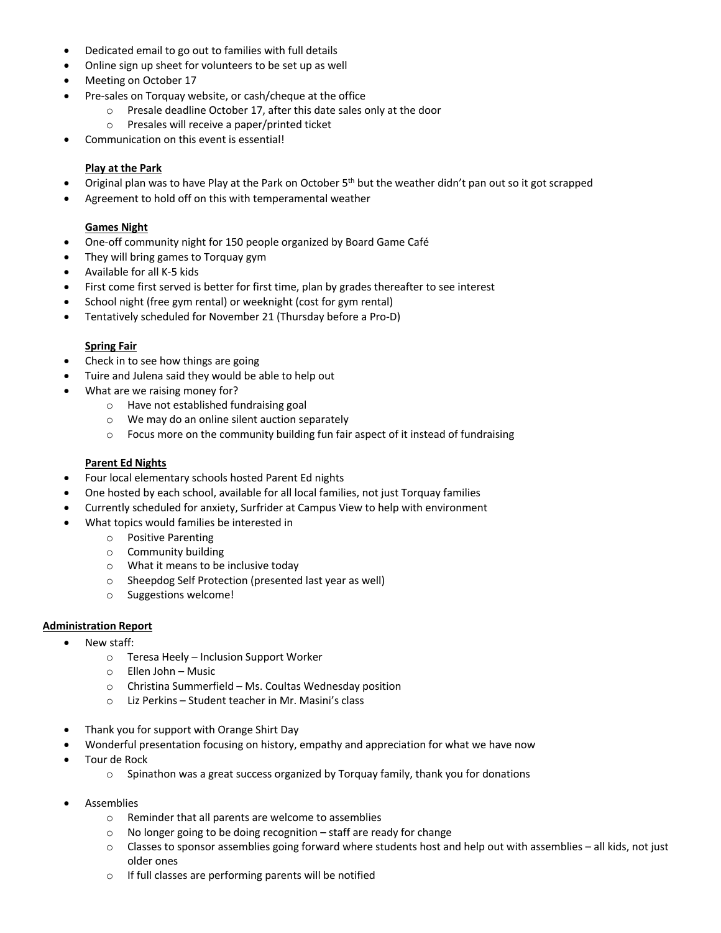- Dedicated email to go out to families with full details
- Online sign up sheet for volunteers to be set up as well
- Meeting on October 17
- Pre-sales on Torquay website, or cash/cheque at the office
	- o Presale deadline October 17, after this date sales only at the door
	- o Presales will receive a paper/printed ticket
- Communication on this event is essential!

# **Play at the Park**

- Original plan was to have Play at the Park on October 5<sup>th</sup> but the weather didn't pan out so it got scrapped
- Agreement to hold off on this with temperamental weather

# **Games Night**

- One-off community night for 150 people organized by Board Game Café
- They will bring games to Torquay gym
- Available for all K-5 kids
- First come first served is better for first time, plan by grades thereafter to see interest
- School night (free gym rental) or weeknight (cost for gym rental)
- Tentatively scheduled for November 21 (Thursday before a Pro-D)

### **Spring Fair**

- Check in to see how things are going
- Tuire and Julena said they would be able to help out
- What are we raising money for?
	- o Have not established fundraising goal
	- o We may do an online silent auction separately
	- o Focus more on the community building fun fair aspect of it instead of fundraising

# **Parent Ed Nights**

- Four local elementary schools hosted Parent Ed nights
- One hosted by each school, available for all local families, not just Torquay families
- Currently scheduled for anxiety, Surfrider at Campus View to help with environment
- What topics would families be interested in
	- o Positive Parenting
		- o Community building
		- o What it means to be inclusive today
		- o Sheepdog Self Protection (presented last year as well)
		- o Suggestions welcome!

### **Administration Report**

- New staff:
	- o Teresa Heely Inclusion Support Worker
	- o Ellen John Music
	- o Christina Summerfield Ms. Coultas Wednesday position
	- o Liz Perkins Student teacher in Mr. Masini's class
- Thank you for support with Orange Shirt Day
- Wonderful presentation focusing on history, empathy and appreciation for what we have now
- Tour de Rock
	- $\circ$  Spinathon was a great success organized by Torquay family, thank you for donations
- **Assemblies** 
	- o Reminder that all parents are welcome to assemblies
	- $\circ$  No longer going to be doing recognition staff are ready for change
	- $\circ$  Classes to sponsor assemblies going forward where students host and help out with assemblies all kids, not just older ones
	- o If full classes are performing parents will be notified